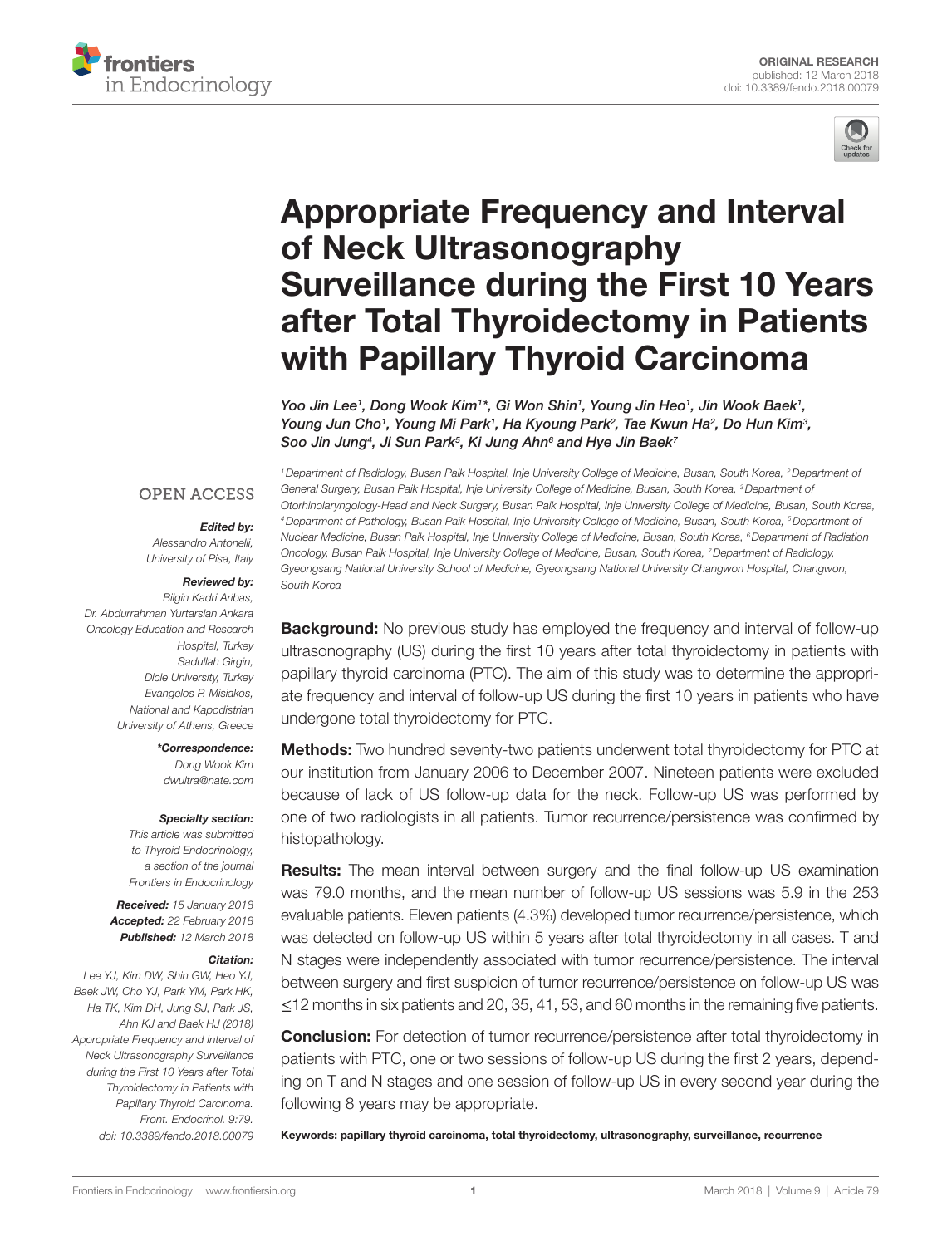



# **Appropriate Frequency and Interval** of Neck Ultrasonography **Surveillance during the First 10 Years** after Total Thyroidectomy in Patients with Papillary Thyroid Carcinoma

Yoo Jin Lee<sup>1</sup>, Dong Wook Kim<sup>1\*</sup>, [Gi Won Shin](https://loop.frontiersin.org/people/533540)<sup>1</sup>, [Young Jin Heo](https://loop.frontiersin.org/people/533481)<sup>1</sup>, Jin Wook Baek<sup>1</sup>, *[Young Jun Cho1](https://loop.frontiersin.org/people/533492) , [Young Mi Park](https://loop.frontiersin.org/people/534014)1 , [Ha Kyoung Park](https://loop.frontiersin.org/people/533612)2 , [Tae Kwun Ha2](https://loop.frontiersin.org/people/533791) , [Do Hun Kim3](https://loop.frontiersin.org/people/533632) , [Soo Jin Jung4](https://loop.frontiersin.org/people/533486) , [Ji Sun Park](https://loop.frontiersin.org/people/533485)5 , [Ki Jung Ahn](https://loop.frontiersin.org/people/533498)6 and [Hye Jin Baek](https://loop.frontiersin.org/people/495929)7*

#### **OPEN ACCESS**

#### *Edited by:*

*Alessandro Antonelli, University of Pisa, Italy*

#### *Reviewed by:*

*Bilgin Kadri Aribas, Dr. Abdurrahman Yurtarslan Ankara Oncology Education and Research Hospital, Turkey Sadullah Girgin, Dicle University, Turkey Evangelos P. Misiakos, National and Kapodistrian University of Athens, Greece*

> *\*Correspondence: Dong Wook Kim [dwultra@nate.com](mailto:dwultra@nate.com)*

#### *Specialty section:*

*This article was submitted to Thyroid Endocrinology, a section of the journal Frontiers in Endocrinology*

*Received: 15 January 2018 Accepted: 22 February 2018 Published: 12 March 2018*

#### *Citation:*

*Lee YJ, Kim DW, Shin GW, Heo YJ, Baek JW, Cho YJ, Park YM, Park HK, Ha TK, Kim DH, Jung SJ, Park JS, Ahn KJ and Baek HJ (2018) Appropriate Frequency and Interval of Neck Ultrasonography Surveillance during the First 10 Years after Total Thyroidectomy in Patients with Papillary Thyroid Carcinoma. Front. Endocrinol. 9:79. doi: [10.3389/fendo.2018.00079](https://doi.org/10.3389/fendo.2018.00079)*

*1Department of Radiology, Busan Paik Hospital, Inje University College of Medicine, Busan, South Korea, 2Department of General Surgery, Busan Paik Hospital, Inje University College of Medicine, Busan, South Korea, 3Department of Otorhinolaryngology-Head and Neck Surgery, Busan Paik Hospital, Inje University College of Medicine, Busan, South Korea, 4Department of Pathology, Busan Paik Hospital, Inje University College of Medicine, Busan, South Korea, 5Department of Nuclear Medicine, Busan Paik Hospital, Inje University College of Medicine, Busan, South Korea, 6Department of Radiation Oncology, Busan Paik Hospital, Inje University College of Medicine, Busan, South Korea, 7Department of Radiology, Gyeongsang National University School of Medicine, Gyeongsang National University Changwon Hospital, Changwon, South Korea*

**Background:** No previous study has employed the frequency and interval of follow-up ultrasonography (US) during the first 10 years after total thyroidectomy in patients with papillary thyroid carcinoma (PTC). The aim of this study was to determine the appropriate frequency and interval of follow-up US during the first 10 years in patients who have undergone total thyroidectomy for PTC.

Methods: Two hundred seventy-two patients underwent total thyroidectomy for PTC at our institution from January 2006 to December 2007. Nineteen patients were excluded because of lack of US follow-up data for the neck. Follow-up US was performed by one of two radiologists in all patients. Tumor recurrence/persistence was confirmed by histopathology.

**Results:** The mean interval between surgery and the final follow-up US examination was 79.0 months, and the mean number of follow-up US sessions was 5.9 in the 253 evaluable patients. Eleven patients (4.3%) developed tumor recurrence/persistence, which was detected on follow-up US within 5 years after total thyroidectomy in all cases. T and N stages were independently associated with tumor recurrence/persistence. The interval between surgery and first suspicion of tumor recurrence/persistence on follow-up US was ≤12 months in six patients and 20, 35, 41, 53, and 60 months in the remaining five patients.

**Conclusion:** For detection of tumor recurrence/persistence after total thyroidectomy in patients with PTC, one or two sessions of follow-up US during the first 2 years, depending on T and N stages and one session of follow-up US in every second year during the following 8 years may be appropriate.

Keywords: papillary thyroid carcinoma, total thyroidectomy, ultrasonography, surveillance, recurrence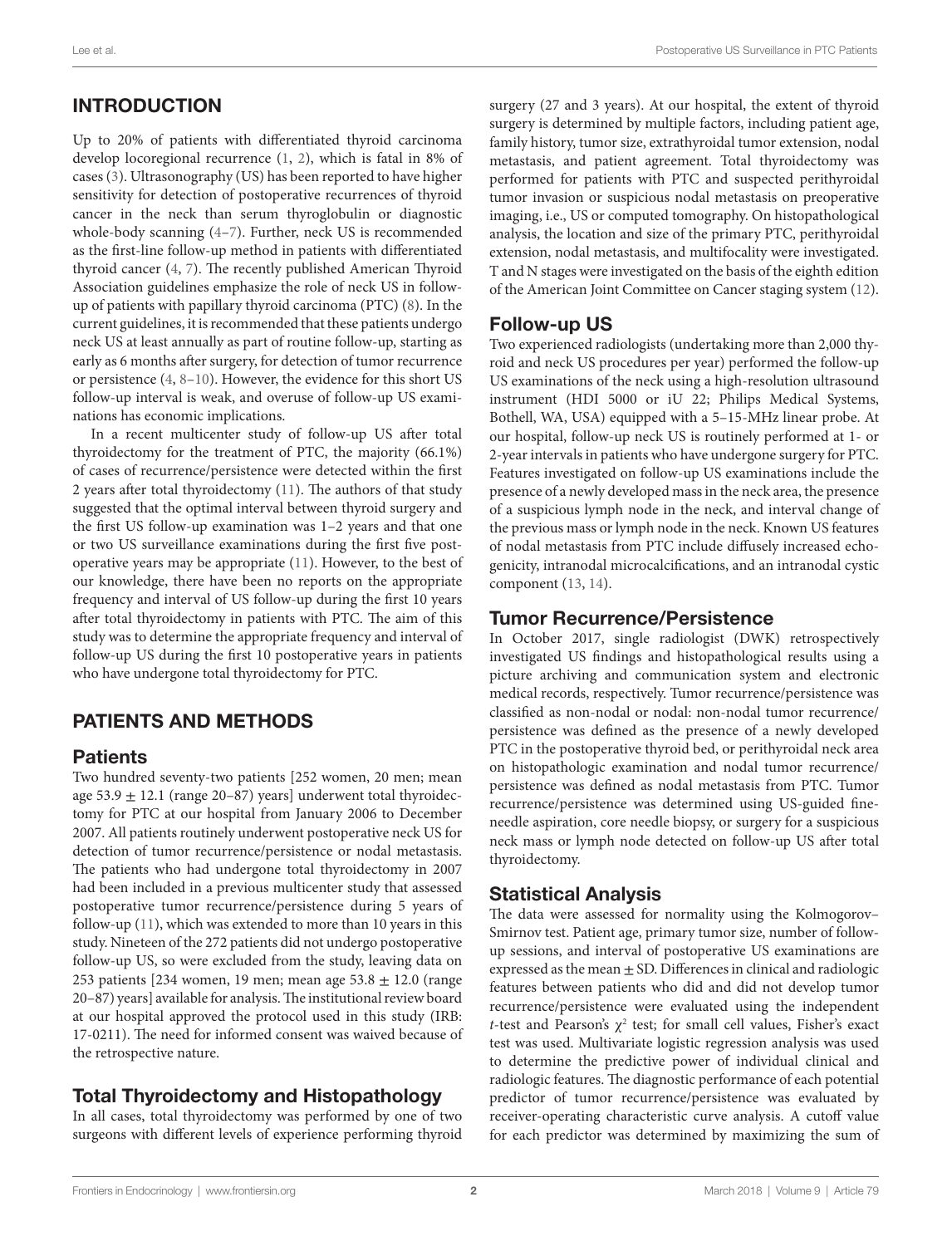# INTRODUCTION

Up to 20% of patients with differentiated thyroid carcinoma develop locoregional recurrence [\(1,](#page-4-0) [2\)](#page-4-1), which is fatal in 8% of cases ([3](#page-4-2)). Ultrasonography (US) has been reported to have higher sensitivity for detection of postoperative recurrences of thyroid cancer in the neck than serum thyroglobulin or diagnostic whole-body scanning [\(4–](#page-4-3)[7](#page-4-4)). Further, neck US is recommended as the first-line follow-up method in patients with differentiated thyroid cancer ([4](#page-4-3), [7\)](#page-4-4). The recently published American Thyroid Association guidelines emphasize the role of neck US in followup of patients with papillary thyroid carcinoma (PTC) ([8](#page-4-5)). In the current guidelines, it is recommended that these patients undergo neck US at least annually as part of routine follow-up, starting as early as 6 months after surgery, for detection of tumor recurrence or persistence [\(4,](#page-4-3) [8–](#page-4-5)[10\)](#page-4-6). However, the evidence for this short US follow-up interval is weak, and overuse of follow-up US examinations has economic implications.

In a recent multicenter study of follow-up US after total thyroidectomy for the treatment of PTC, the majority (66.1%) of cases of recurrence/persistence were detected within the first 2 years after total thyroidectomy ([11\)](#page-4-7). The authors of that study suggested that the optimal interval between thyroid surgery and the first US follow-up examination was 1–2 years and that one or two US surveillance examinations during the first five postoperative years may be appropriate [\(11](#page-4-7)). However, to the best of our knowledge, there have been no reports on the appropriate frequency and interval of US follow-up during the first 10 years after total thyroidectomy in patients with PTC. The aim of this study was to determine the appropriate frequency and interval of follow-up US during the first 10 postoperative years in patients who have undergone total thyroidectomy for PTC.

# PATIENTS AND METHODS

#### **Patients**

Two hundred seventy-two patients [252 women, 20 men; mean age 53.9  $\pm$  12.1 (range 20–87) years] underwent total thyroidectomy for PTC at our hospital from January 2006 to December 2007. All patients routinely underwent postoperative neck US for detection of tumor recurrence/persistence or nodal metastasis. The patients who had undergone total thyroidectomy in 2007 had been included in a previous multicenter study that assessed postoperative tumor recurrence/persistence during 5 years of follow-up [\(11\)](#page-4-7), which was extended to more than 10 years in this study. Nineteen of the 272 patients did not undergo postoperative follow-up US, so were excluded from the study, leaving data on 253 patients [234 women, 19 men; mean age  $53.8 \pm 12.0$  (range 20–87) years] available for analysis. The institutional review board at our hospital approved the protocol used in this study (IRB: 17-0211). The need for informed consent was waived because of the retrospective nature.

## Total Thyroidectomy and Histopathology

In all cases, total thyroidectomy was performed by one of two surgeons with different levels of experience performing thyroid surgery (27 and 3 years). At our hospital, the extent of thyroid surgery is determined by multiple factors, including patient age, family history, tumor size, extrathyroidal tumor extension, nodal metastasis, and patient agreement. Total thyroidectomy was performed for patients with PTC and suspected perithyroidal tumor invasion or suspicious nodal metastasis on preoperative imaging, i.e., US or computed tomography. On histopathological analysis, the location and size of the primary PTC, perithyroidal extension, nodal metastasis, and multifocality were investigated. T and N stages were investigated on the basis of the eighth edition of the American Joint Committee on Cancer staging system [\(12](#page-4-8)).

## Follow-up US

Two experienced radiologists (undertaking more than 2,000 thyroid and neck US procedures per year) performed the follow-up US examinations of the neck using a high-resolution ultrasound instrument (HDI 5000 or iU 22; Philips Medical Systems, Bothell, WA, USA) equipped with a 5–15-MHz linear probe. At our hospital, follow-up neck US is routinely performed at 1- or 2-year intervals in patients who have undergone surgery for PTC. Features investigated on follow-up US examinations include the presence of a newly developed mass in the neck area, the presence of a suspicious lymph node in the neck, and interval change of the previous mass or lymph node in the neck. Known US features of nodal metastasis from PTC include diffusely increased echogenicity, intranodal microcalcifications, and an intranodal cystic component ([13,](#page-4-9) [14](#page-4-10)).

#### Tumor Recurrence/Persistence

In October 2017, single radiologist (DWK) retrospectively investigated US findings and histopathological results using a picture archiving and communication system and electronic medical records, respectively. Tumor recurrence/persistence was classified as non-nodal or nodal: non-nodal tumor recurrence/ persistence was defined as the presence of a newly developed PTC in the postoperative thyroid bed, or perithyroidal neck area on histopathologic examination and nodal tumor recurrence/ persistence was defined as nodal metastasis from PTC. Tumor recurrence/persistence was determined using US-guided fineneedle aspiration, core needle biopsy, or surgery for a suspicious neck mass or lymph node detected on follow-up US after total thyroidectomy.

## Statistical Analysis

The data were assessed for normality using the Kolmogorov– Smirnov test. Patient age, primary tumor size, number of followup sessions, and interval of postoperative US examinations are expressed as the mean  $\pm$  SD. Differences in clinical and radiologic features between patients who did and did not develop tumor recurrence/persistence were evaluated using the independent *t*-test and Pearson's  $\chi^2$  test; for small cell values, Fisher's exact test was used. Multivariate logistic regression analysis was used to determine the predictive power of individual clinical and radiologic features. The diagnostic performance of each potential predictor of tumor recurrence/persistence was evaluated by receiver-operating characteristic curve analysis. A cutoff value for each predictor was determined by maximizing the sum of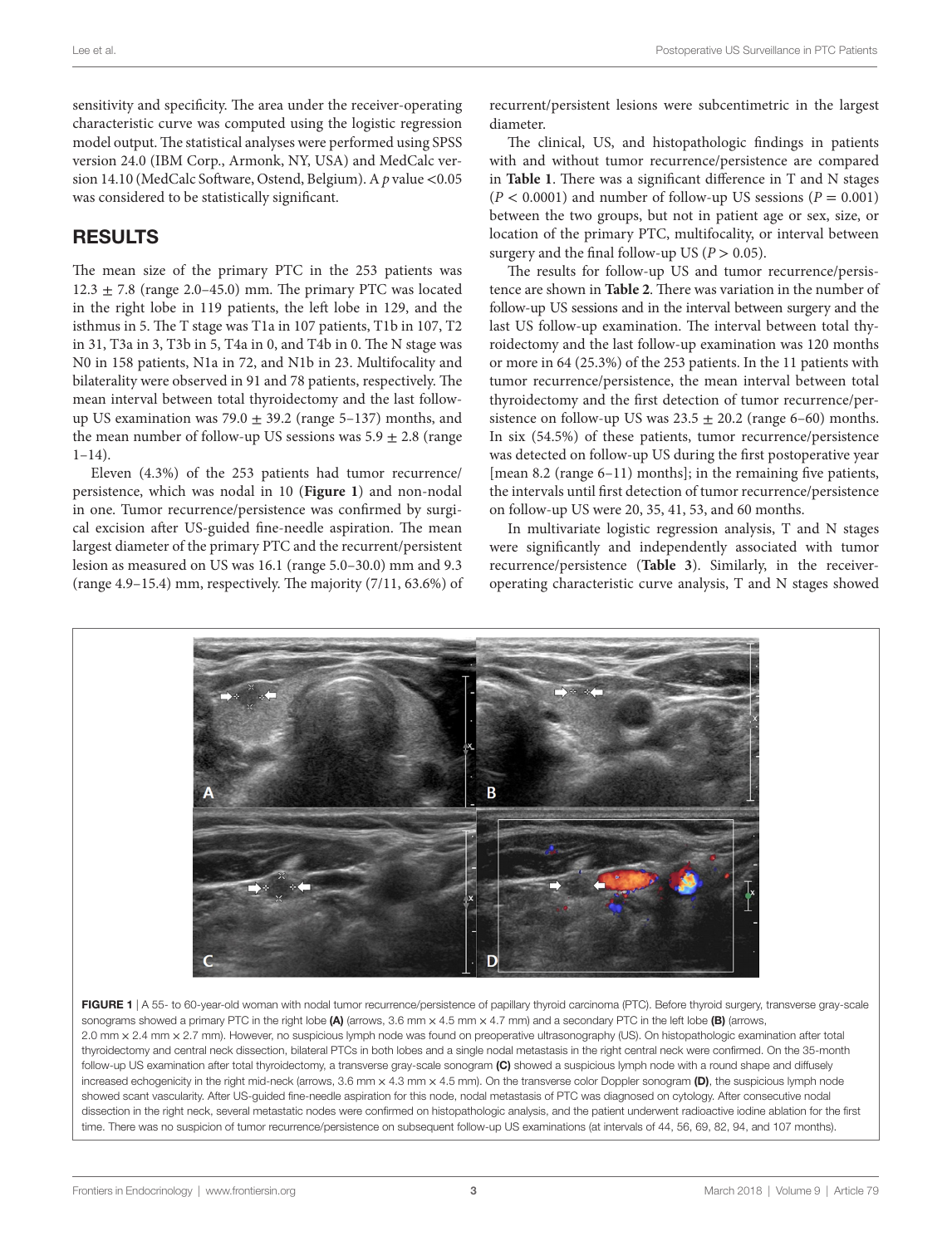sensitivity and specificity. The area under the receiver-operating characteristic curve was computed using the logistic regression model output. The statistical analyses were performed using SPSS version 24.0 (IBM Corp., Armonk, NY, USA) and MedCalc version 14.10 (MedCalc Software, Ostend, Belgium). A *p* value <0.05 was considered to be statistically significant.

## RESULTS

The mean size of the primary PTC in the 253 patients was  $12.3 \pm 7.8$  (range 2.0–45.0) mm. The primary PTC was located in the right lobe in 119 patients, the left lobe in 129, and the isthmus in 5. The T stage was T1a in 107 patients, T1b in 107, T2 in 31, T3a in 3, T3b in 5, T4a in 0, and T4b in 0. The N stage was N0 in 158 patients, N1a in 72, and N1b in 23. Multifocality and bilaterality were observed in 91 and 78 patients, respectively. The mean interval between total thyroidectomy and the last followup US examination was  $79.0 \pm 39.2$  (range 5–137) months, and the mean number of follow-up US sessions was  $5.9 \pm 2.8$  (range  $1-14$ ).

Eleven (4.3%) of the 253 patients had tumor recurrence/ persistence, which was nodal in 10 (**[Figure 1](#page-2-0)**) and non-nodal in one. Tumor recurrence/persistence was confirmed by surgical excision after US-guided fine-needle aspiration. The mean largest diameter of the primary PTC and the recurrent/persistent lesion as measured on US was 16.1 (range 5.0–30.0) mm and 9.3 (range 4.9–15.4) mm, respectively. The majority (7/11, 63.6%) of recurrent/persistent lesions were subcentimetric in the largest diameter.

The clinical, US, and histopathologic findings in patients with and without tumor recurrence/persistence are compared in **[Table 1](#page-3-0)**. There was a significant difference in T and N stages  $(P < 0.0001)$  and number of follow-up US sessions  $(P = 0.001)$ between the two groups, but not in patient age or sex, size, or location of the primary PTC, multifocality, or interval between surgery and the final follow-up US ( $P > 0.05$ ).

The results for follow-up US and tumor recurrence/persistence are shown in **[Table 2](#page-3-1)**. There was variation in the number of follow-up US sessions and in the interval between surgery and the last US follow-up examination. The interval between total thyroidectomy and the last follow-up examination was 120 months or more in 64 (25.3%) of the 253 patients. In the 11 patients with tumor recurrence/persistence, the mean interval between total thyroidectomy and the first detection of tumor recurrence/persistence on follow-up US was  $23.5 \pm 20.2$  (range 6–60) months. In six (54.5%) of these patients, tumor recurrence/persistence was detected on follow-up US during the first postoperative year [mean 8.2 (range 6–11) months]; in the remaining five patients, the intervals until first detection of tumor recurrence/persistence on follow-up US were 20, 35, 41, 53, and 60 months.

In multivariate logistic regression analysis, T and N stages were significantly and independently associated with tumor recurrence/persistence (**[Table 3](#page-3-2)**). Similarly, in the receiveroperating characteristic curve analysis, T and N stages showed



<span id="page-2-0"></span>sonograms showed a primary PTC in the right lobe (A) (arrows, 3.6 mm  $\times$  4.5 mm  $\times$  4.7 mm) and a secondary PTC in the left lobe (B) (arrows, 2.0 mm x 2.4 mm x 2.7 mm). However, no suspicious lymph node was found on preoperative ultrasonography (US). On histopathologic examination after total thyroidectomy and central neck dissection, bilateral PTCs in both lobes and a single nodal metastasis in the right central neck were confirmed. On the 35-month follow-up US examination after total thyroidectomy, a transverse gray-scale sonogram (C) showed a suspicious lymph node with a round shape and diffusely increased echogenicity in the right mid-neck (arrows, 3.6 mm  $\times$  4.3 mm  $\times$  4.5 mm). On the transverse color Doppler sonogram (D), the suspicious lymph node showed scant vascularity. After US-guided fine-needle aspiration for this node, nodal metastasis of PTC was diagnosed on cytology. After consecutive nodal dissection in the right neck, several metastatic nodes were confirmed on histopathologic analysis, and the patient underwent radioactive iodine ablation for the first time. There was no suspicion of tumor recurrence/persistence on subsequent follow-up US examinations (at intervals of 44, 56, 69, 82, 94, and 107 months).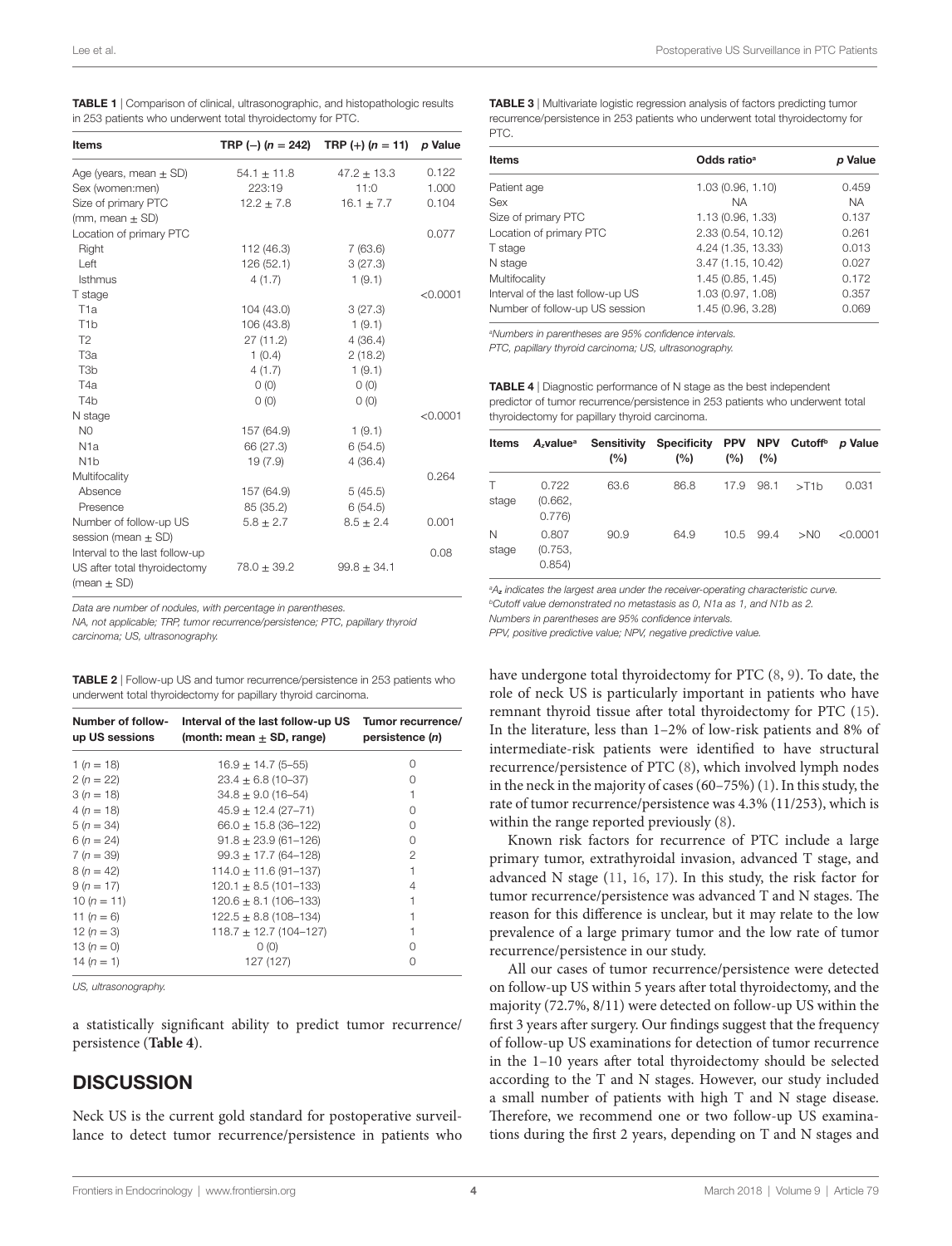<span id="page-3-0"></span>

| TABLE 1   Comparison of clinical, ultrasonographic, and histopathologic results |
|---------------------------------------------------------------------------------|
| in 253 patients who underwent total thyroidectomy for PTC.                      |

| <b>Items</b>                   | TRP (-) $(n = 242)$ | TRP $(+)$ (n = 11) | p Value  |
|--------------------------------|---------------------|--------------------|----------|
| Age (years, mean $\pm$ SD)     | $54.1 \pm 11.8$     | $47.2 \pm 13.3$    | 0.122    |
| Sex (women:men)                | 223:19              | 11:0               | 1.000    |
| Size of primary PTC            | $12.2 \pm 7.8$      | $16.1 \pm 7.7$     | 0.104    |
| (mm, mean $\pm$ SD)            |                     |                    |          |
| Location of primary PTC        |                     |                    | 0.077    |
| Right                          | 112 (46.3)          | 7(63.6)            |          |
| Left                           | 126 (52.1)          | 3(27.3)            |          |
| <b>Isthmus</b>                 | 4(1.7)              | 1(9.1)             |          |
| T stage                        |                     |                    | < 0.0001 |
| T <sub>1a</sub>                | 104 (43.0)          | 3(27.3)            |          |
| T <sub>1</sub> b               | 106 (43.8)          | 1(9.1)             |          |
| T <sub>2</sub>                 | 27(11.2)            | 4(36.4)            |          |
| T <sub>3a</sub>                | 1(0.4)              | 2(18.2)            |          |
| T <sub>3</sub> b               | 4(1.7)              | 1(9.1)             |          |
| T <sub>4</sub> a               | $O$ (O)             | O(0)               |          |
| T <sub>4</sub> b               | O(0)                | O(0)               |          |
| N stage                        |                     |                    | < 0.0001 |
| N <sub>0</sub>                 | 157 (64.9)          | 1(9.1)             |          |
| N <sub>1</sub> a               | 66 (27.3)           | 6(54.5)            |          |
| N <sub>1</sub> b               | 19(7.9)             | 4(36.4)            |          |
| Multifocality                  |                     |                    | 0.264    |
| Absence                        | 157 (64.9)          | 5(45.5)            |          |
| Presence                       | 85 (35.2)           | 6(54.5)            |          |
| Number of follow-up US         | $5.8 \pm 2.7$       | $8.5 \pm 2.4$      | 0.001    |
| session (mean $\pm$ SD)        |                     |                    |          |
| Interval to the last follow-up |                     |                    | 0.08     |
| US after total thyroidectomy   | $78.0 \pm 39.2$     | $99.8 \pm 34.1$    |          |
| (mean $\pm$ SD)                |                     |                    |          |

*Data are number of nodules, with percentage in parentheses.*

*NA, not applicable; TRP, tumor recurrence/persistence; PTC, papillary thyroid carcinoma; US, ultrasonography.*

<span id="page-3-1"></span>

| <b>TABLE 2</b>   Follow-up US and tumor recurrence/persistence in 253 patients who |  |
|------------------------------------------------------------------------------------|--|
| underwent total thyroidectomy for papillary thyroid carcinoma.                     |  |

| Number of follow-<br>up US sessions | Interval of the last follow-up US<br>(month: mean $+$ SD, range) | Tumor recurrence/<br>persistence (n) |  |  |
|-------------------------------------|------------------------------------------------------------------|--------------------------------------|--|--|
| $1(n = 18)$                         | $16.9 \pm 14.7$ (5-55)                                           | $\left( \right)$                     |  |  |
| $2(n = 22)$                         | $23.4 \pm 6.8$ (10-37)                                           | $\left( \right)$                     |  |  |
| $3(n = 18)$                         | $34.8 \pm 9.0$ (16-54)                                           |                                      |  |  |
| $4(n = 18)$                         | $45.9 \pm 12.4$ (27-71)                                          | $\left( \right)$                     |  |  |
| $5(n = 34)$                         | $66.0 \pm 15.8$ (36-122)                                         | $\left( \right)$                     |  |  |
| $6(n = 24)$                         | $91.8 \pm 23.9$ (61-126)                                         | 0                                    |  |  |
| $7 (n = 39)$                        | $99.3 \pm 17.7$ (64-128)                                         | 2                                    |  |  |
| $8(n = 42)$                         | $114.0 \pm 11.6 (91 - 137)$                                      |                                      |  |  |
| $9(n = 17)$                         | $120.1 \pm 8.5$ (101-133)                                        | 4                                    |  |  |
| $10(n = 11)$                        | $120.6 \pm 8.1 (106 - 133)$                                      |                                      |  |  |
| 11 $(n = 6)$                        | $122.5 \pm 8.8$ (108-134)                                        |                                      |  |  |
| 12 $(n = 3)$                        | $118.7 \pm 12.7$ (104-127)                                       |                                      |  |  |
| 13 $(n = 0)$                        | O(0)                                                             | $\left( \right)$                     |  |  |
| 14 $(n = 1)$                        | 127 (127)                                                        |                                      |  |  |

*US, ultrasonography.*

a statistically significant ability to predict tumor recurrence/ persistence (**[Table 4](#page-3-3)**).

#### **DISCUSSION**

Neck US is the current gold standard for postoperative surveillance to detect tumor recurrence/persistence in patients who <span id="page-3-2"></span>TABLE 3 | Multivariate logistic regression analysis of factors predicting tumor recurrence/persistence in 253 patients who underwent total thyroidectomy for PTC.

| Odds ratio <sup>a</sup> | p Value   |  |
|-------------------------|-----------|--|
| 1.03(0.96, 1.10)        | 0.459     |  |
| <b>NA</b>               | <b>NA</b> |  |
| 1.13 (0.96, 1.33)       | 0.137     |  |
| 2.33 (0.54, 10.12)      | 0.261     |  |
| 4.24 (1.35, 13.33)      | 0.013     |  |
| 3.47 (1.15, 10.42)      | 0.027     |  |
| 1.45(0.85, 1.45)        | 0.172     |  |
| 1.03 (0.97, 1.08)       | 0.357     |  |
| 1.45 (0.96, 3.28)       | 0.069     |  |
|                         |           |  |

*a Numbers in parentheses are 95% confidence intervals.*

*PTC, papillary thyroid carcinoma; US, ultrasonography.*

<span id="page-3-3"></span>TABLE 4 | Diagnostic performance of N stage as the best independent predictor of tumor recurrence/persistence in 253 patients who underwent total thyroidectomy for papillary thyroid carcinoma.

| Items       | A <sub>z</sub> value <sup>a</sup> | (%)  | Sensitivity Specificity PPV NPV Cutoff <sup>b</sup> p Value<br>(%) | (%)  | (%)       |            |          |
|-------------|-----------------------------------|------|--------------------------------------------------------------------|------|-----------|------------|----------|
| T.<br>stage | 0.722<br>(0.662,<br>0.776         | 63.6 | 86.8                                                               | 17.9 | 98.1      | $>$ T1 $h$ | 0.031    |
| N<br>stage  | 0.807<br>(0.753,<br>0.854)        | 90.9 | 64.9                                                               |      | 10.5 99.4 | $>$ NO     | < 0.0001 |

*a Az indicates the largest area under the receiver-operating characteristic curve. bCutoff value demonstrated no metastasis as 0, N1a as 1, and N1b as 2.*

*Numbers in parentheses are 95% confidence intervals.*

*PPV, positive predictive value; NPV, negative predictive value.*

have undergone total thyroidectomy for PTC ([8](#page-4-5), [9](#page-4-11)). To date, the role of neck US is particularly important in patients who have remnant thyroid tissue after total thyroidectomy for PTC [\(15](#page-4-12)). In the literature, less than 1–2% of low-risk patients and 8% of intermediate-risk patients were identified to have structural recurrence/persistence of PTC ([8](#page-4-5)), which involved lymph nodes in the neck in the majority of cases (60–75%) [\(1\)](#page-4-0). In this study, the rate of tumor recurrence/persistence was 4.3% (11/253), which is within the range reported previously [\(8\)](#page-4-5).

Known risk factors for recurrence of PTC include a large primary tumor, extrathyroidal invasion, advanced T stage, and advanced N stage ([11,](#page-4-7) [16](#page-4-13), [17\)](#page-4-14). In this study, the risk factor for tumor recurrence/persistence was advanced T and N stages. The reason for this difference is unclear, but it may relate to the low prevalence of a large primary tumor and the low rate of tumor recurrence/persistence in our study.

All our cases of tumor recurrence/persistence were detected on follow-up US within 5 years after total thyroidectomy, and the majority (72.7%, 8/11) were detected on follow-up US within the first 3 years after surgery. Our findings suggest that the frequency of follow-up US examinations for detection of tumor recurrence in the 1–10 years after total thyroidectomy should be selected according to the T and N stages. However, our study included a small number of patients with high T and N stage disease. Therefore, we recommend one or two follow-up US examinations during the first 2 years, depending on T and N stages and